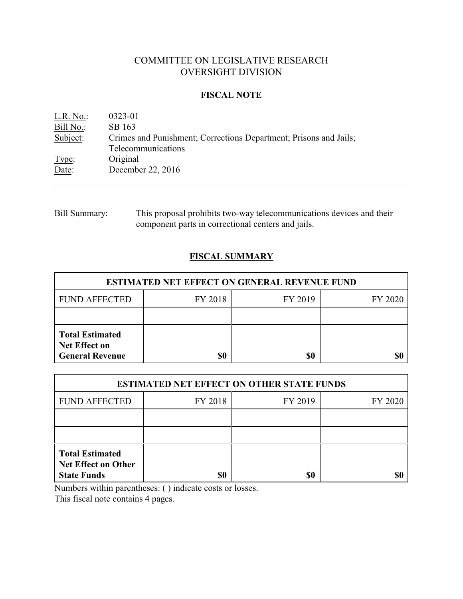# COMMITTEE ON LEGISLATIVE RESEARCH OVERSIGHT DIVISION

## **FISCAL NOTE**

| L.R. No.  | 0323-01                                                           |
|-----------|-------------------------------------------------------------------|
| Bill No.: | SB 163                                                            |
| Subject:  | Crimes and Punishment; Corrections Department; Prisons and Jails; |
|           | Telecommunications                                                |
| Type:     | Original                                                          |
| Date:     | December 22, 2016                                                 |

Bill Summary: This proposal prohibits two-way telecommunications devices and their component parts in correctional centers and jails.

## **FISCAL SUMMARY**

| <b>ESTIMATED NET EFFECT ON GENERAL REVENUE FUND</b>                      |         |         |         |  |
|--------------------------------------------------------------------------|---------|---------|---------|--|
| <b>FUND AFFECTED</b>                                                     | FY 2018 | FY 2019 | FY 2020 |  |
|                                                                          |         |         |         |  |
| <b>Total Estimated</b><br><b>Net Effect on</b><br><b>General Revenue</b> | \$0     | \$0     |         |  |

| <b>ESTIMATED NET EFFECT ON OTHER STATE FUNDS</b>                           |         |         |         |  |
|----------------------------------------------------------------------------|---------|---------|---------|--|
| <b>FUND AFFECTED</b>                                                       | FY 2018 | FY 2019 | FY 2020 |  |
|                                                                            |         |         |         |  |
|                                                                            |         |         |         |  |
| <b>Total Estimated</b><br><b>Net Effect on Other</b><br><b>State Funds</b> | \$0     | \$0     |         |  |

Numbers within parentheses: ( ) indicate costs or losses.

This fiscal note contains 4 pages.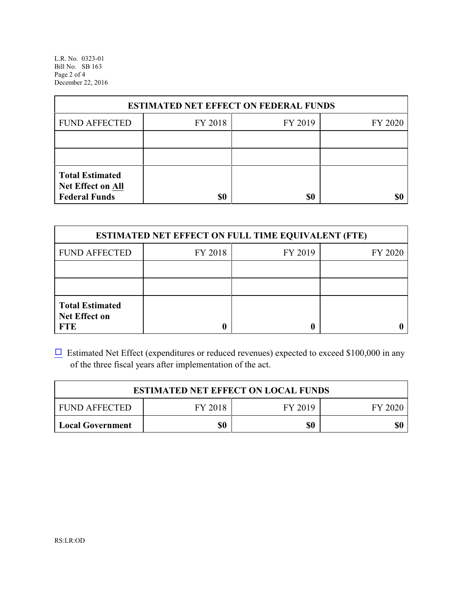L.R. No. 0323-01 Bill No. SB 163 Page 2 of 4 December 22, 2016

| <b>ESTIMATED NET EFFECT ON FEDERAL FUNDS</b>                        |         |         |         |  |
|---------------------------------------------------------------------|---------|---------|---------|--|
| <b>FUND AFFECTED</b>                                                | FY 2018 | FY 2019 | FY 2020 |  |
|                                                                     |         |         |         |  |
|                                                                     |         |         |         |  |
| <b>Total Estimated</b><br>Net Effect on All<br><b>Federal Funds</b> | \$0     | \$0     |         |  |

| <b>ESTIMATED NET EFFECT ON FULL TIME EQUIVALENT (FTE)</b>    |         |         |         |  |
|--------------------------------------------------------------|---------|---------|---------|--|
| <b>FUND AFFECTED</b>                                         | FY 2018 | FY 2019 | FY 2020 |  |
|                                                              |         |         |         |  |
|                                                              |         |         |         |  |
| <b>Total Estimated</b><br><b>Net Effect on</b><br><b>FTE</b> |         |         |         |  |

 $\Box$  Estimated Net Effect (expenditures or reduced revenues) expected to exceed \$100,000 in any of the three fiscal years after implementation of the act.

| <b>ESTIMATED NET EFFECT ON LOCAL FUNDS</b> |         |         |         |  |
|--------------------------------------------|---------|---------|---------|--|
| <b>FUND AFFECTED</b>                       | FY 2018 | FY 2019 | FY 2020 |  |
| <b>Local Government</b>                    | \$0     | \$0     | \$0     |  |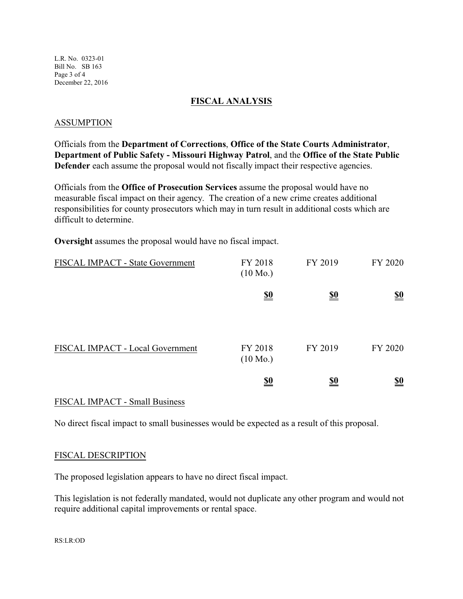L.R. No. 0323-01 Bill No. SB 163 Page 3 of 4 December 22, 2016

### **FISCAL ANALYSIS**

### ASSUMPTION

Officials from the **Department of Corrections**, **Office of the State Courts Administrator**, **Department of Public Safety - Missouri Highway Patrol**, and the **Office of the State Public Defender** each assume the proposal would not fiscally impact their respective agencies.

Officials from the **Office of Prosecution Services** assume the proposal would have no measurable fiscal impact on their agency. The creation of a new crime creates additional responsibilities for county prosecutors which may in turn result in additional costs which are difficult to determine.

**Oversight** assumes the proposal would have no fiscal impact.

| FISCAL IMPACT - State Government | FY 2018<br>$(10 \text{ Mo.})$ | FY 2019    | FY 2020    |
|----------------------------------|-------------------------------|------------|------------|
|                                  | $\frac{$0}{}$                 | <u>\$0</u> | <u>\$0</u> |
| FISCAL IMPACT - Local Government | FY 2018<br>$(10 \text{ Mo.})$ | FY 2019    | FY 2020    |
|                                  | <u>\$0</u>                    | <u>\$0</u> | <u>\$0</u> |

### FISCAL IMPACT - Small Business

No direct fiscal impact to small businesses would be expected as a result of this proposal.

#### FISCAL DESCRIPTION

The proposed legislation appears to have no direct fiscal impact.

This legislation is not federally mandated, would not duplicate any other program and would not require additional capital improvements or rental space.

RS:LR:OD